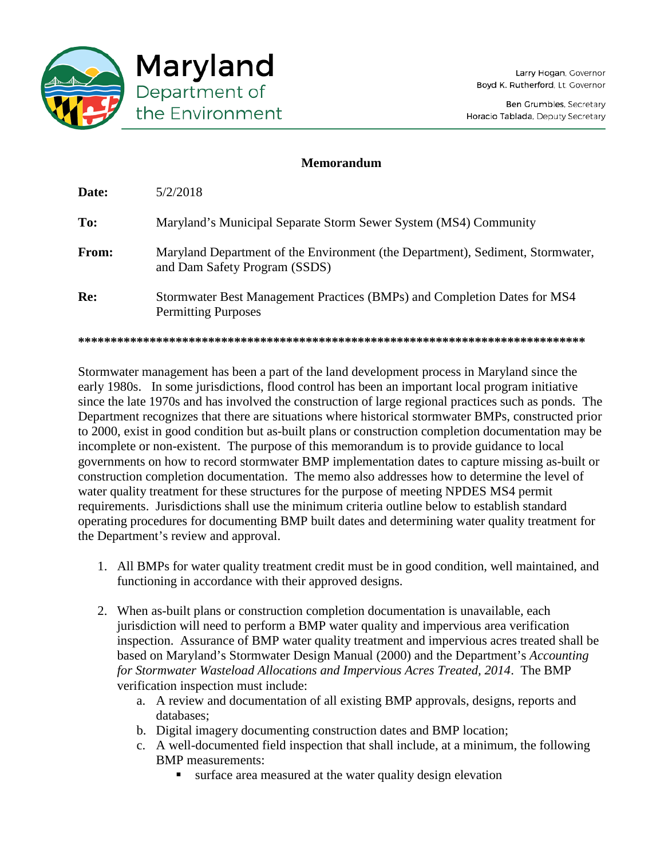

## **Memorandum**

| Date: | 5/2/2018                                                                                                        |
|-------|-----------------------------------------------------------------------------------------------------------------|
| To:   | Maryland's Municipal Separate Storm Sewer System (MS4) Community                                                |
| From: | Maryland Department of the Environment (the Department), Sediment, Stormwater,<br>and Dam Safety Program (SSDS) |
| Re:   | Stormwater Best Management Practices (BMPs) and Completion Dates for MS4<br><b>Permitting Purposes</b>          |
|       |                                                                                                                 |

Stormwater management has been a part of the land development process in Maryland since the early 1980s. In some jurisdictions, flood control has been an important local program initiative since the late 1970s and has involved the construction of large regional practices such as ponds. The Department recognizes that there are situations where historical stormwater BMPs, constructed prior to 2000, exist in good condition but as-built plans or construction completion documentation may be incomplete or non-existent. The purpose of this memorandum is to provide guidance to local governments on how to record stormwater BMP implementation dates to capture missing as-built or construction completion documentation. The memo also addresses how to determine the level of water quality treatment for these structures for the purpose of meeting NPDES MS4 permit requirements. Jurisdictions shall use the minimum criteria outline below to establish standard operating procedures for documenting BMP built dates and determining water quality treatment for the Department's review and approval.

- 1. All BMPs for water quality treatment credit must be in good condition, well maintained, and functioning in accordance with their approved designs.
- 2. When as-built plans or construction completion documentation is unavailable, each jurisdiction will need to perform a BMP water quality and impervious area verification inspection. Assurance of BMP water quality treatment and impervious acres treated shall be based on Maryland's Stormwater Design Manual (2000) and the Department's *Accounting for Stormwater Wasteload Allocations and Impervious Acres Treated, 2014*. The BMP verification inspection must include:
	- a. A review and documentation of all existing BMP approvals, designs, reports and databases;
	- b. Digital imagery documenting construction dates and BMP location;
	- c. A well-documented field inspection that shall include, at a minimum, the following BMP measurements:
		- surface area measured at the water quality design elevation